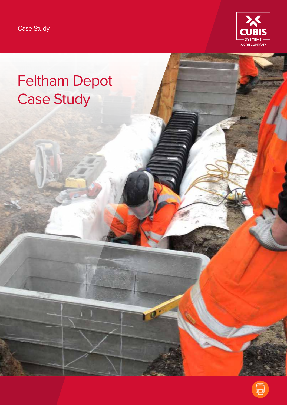

# Feltham Depot Case Study

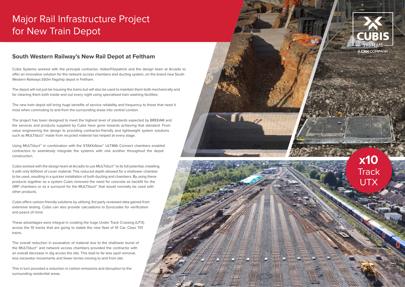#### **South Western Railway's New Rail Depot at Feltham**

Cubis Systems worked with the principal contractor, VolkerFitzpatrick and the design team at Arcadis to offer an innovative solution for the network access chambers and ducting system, on the brand new South Western Railways £60m flagship depot in Feltham.

The depot will not just be housing the trains but will also be used to maintain them both mechanically and for cleaning them both inside and out every night using specialised train washing facilities.

The new train depot will bring huge benefits of service reliability and frequency to those that need it most when commuting to and from the surrounding areas into central London.

Using MULTIduct<sup>™</sup> in combination with the STAKKAbox<sup>™</sup> ULTIMA Connect chambers enabled contractors to seamlessly integrate the systems with one another throughout the depot construction.

The project has been designed to meet the highest level of standards expected by BREEAM and the services and products supplied by Cubis have gone towards achieving that standard. From value engineering the design to providing contractor-friendly and lightweight system solutions such as MULTIduct™ made from recycled material has helped at every stage.

### **x10 Track** UTX

Cubis worked with the design team at Arcadis to use MULTIduct™ to its full potential, installing it with only 600mm of cover material. This reduced depth allowed for a shallower chamber to be used, resulting in a quicker installation of both ducting and chambers. By using these products together as a system Cubis removed the need for concrete as backfill for the GRP chambers or as a surround for the MULTIduct™ that would normally be used with other products.

Cubis offers carbon-friendly solutions by utilising 3rd party reviewed data gained from extensive testing. Cubis can also provide calculations to Eurocodes for verification and peace of mind.

These advantages were integral in creating the huge Under Track Crossing (UTX) across the 10 tracks that are going to stable the new fleet of 10 Car, Class 701 trains.

The overall reduction in excavation of material due to the shallower burial of the MULTIduct™ and network access chambers provided the contractor with an overall decrease in dig across the site. This lead to far less spoil removal, less excavator movements and fewer lorries moving to and from site.

This in turn provided a reduction in carbon emissions and disruption to the surrounding residential areas.







## Major Rail Infrastructure Project for New Train Depot